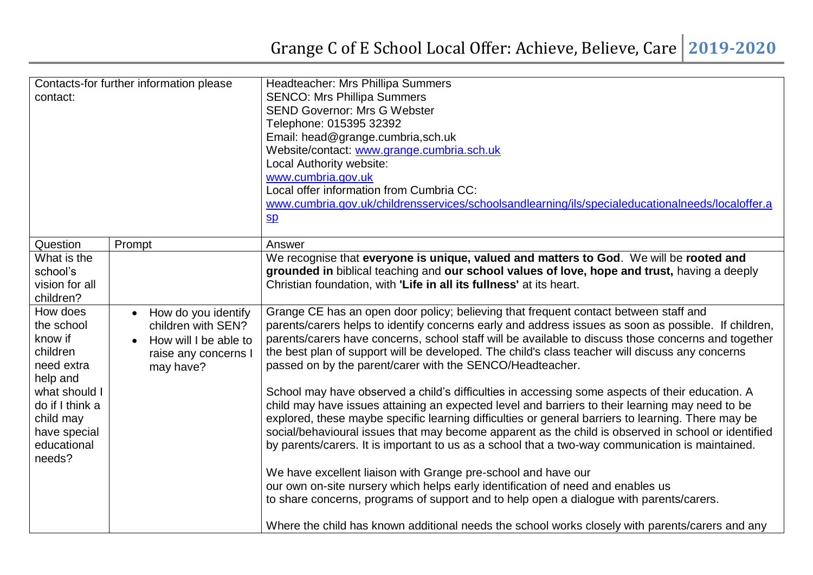| Contacts-for further information please<br>contact:                                                                                                                              | Headteacher: Mrs Phillipa Summers<br><b>SENCO: Mrs Phillipa Summers</b><br><b>SEND Governor: Mrs G Webster</b><br>Telephone: 015395 32392<br>Email: head@grange.cumbria,sch.uk<br>Website/contact: www.grange.cumbria.sch.uk<br>Local Authority website:<br>www.cumbria.gov.uk<br>Local offer information from Cumbria CC:<br>www.cumbria.gov.uk/childrensservices/schoolsandlearning/ils/specialeducationalneeds/localoffer.a<br>$S_{\mathbf{D}}$                                                                  |
|----------------------------------------------------------------------------------------------------------------------------------------------------------------------------------|---------------------------------------------------------------------------------------------------------------------------------------------------------------------------------------------------------------------------------------------------------------------------------------------------------------------------------------------------------------------------------------------------------------------------------------------------------------------------------------------------------------------|
|                                                                                                                                                                                  |                                                                                                                                                                                                                                                                                                                                                                                                                                                                                                                     |
| Question<br>Prompt<br>What is the                                                                                                                                                | Answer<br>We recognise that everyone is unique, valued and matters to God. We will be rooted and                                                                                                                                                                                                                                                                                                                                                                                                                    |
| school's<br>vision for all<br>children?                                                                                                                                          | grounded in biblical teaching and our school values of love, hope and trust, having a deeply<br>Christian foundation, with 'Life in all its fullness' at its heart.                                                                                                                                                                                                                                                                                                                                                 |
| How does<br>How do you identify<br>the school<br>children with SEN?<br>know if<br>How will I be able to<br>children<br>raise any concerns<br>need extra<br>may have?<br>help and | Grange CE has an open door policy; believing that frequent contact between staff and<br>parents/carers helps to identify concerns early and address issues as soon as possible. If children,<br>parents/carers have concerns, school staff will be available to discuss those concerns and together<br>the best plan of support will be developed. The child's class teacher will discuss any concerns<br>passed on by the parent/carer with the SENCO/Headteacher.                                                 |
| what should I<br>do if I think a<br>child may<br>have special<br>educational<br>needs?                                                                                           | School may have observed a child's difficulties in accessing some aspects of their education. A<br>child may have issues attaining an expected level and barriers to their learning may need to be<br>explored, these maybe specific learning difficulties or general barriers to learning. There may be<br>social/behavioural issues that may become apparent as the child is observed in school or identified<br>by parents/carers. It is important to us as a school that a two-way communication is maintained. |
|                                                                                                                                                                                  | We have excellent liaison with Grange pre-school and have our<br>our own on-site nursery which helps early identification of need and enables us<br>to share concerns, programs of support and to help open a dialogue with parents/carers.<br>Where the child has known additional needs the school works closely with parents/carers and any                                                                                                                                                                      |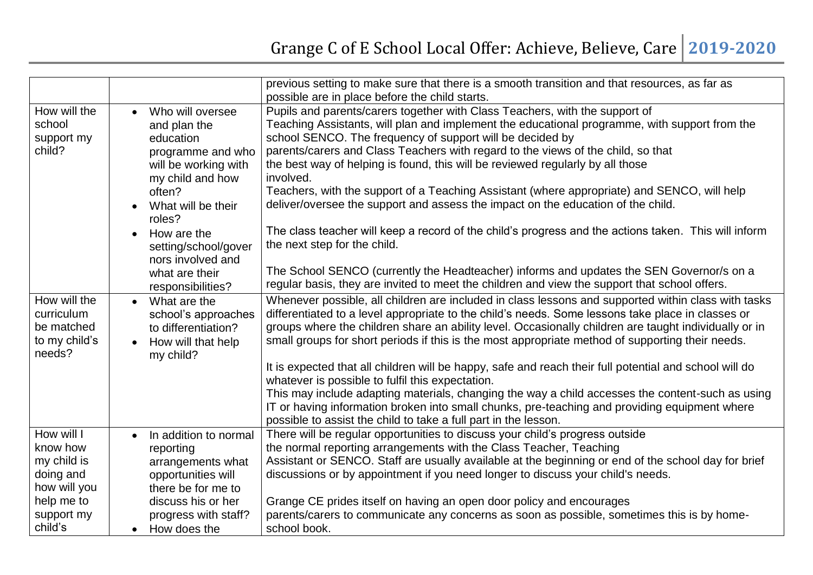|               |                                    | previous setting to make sure that there is a smooth transition and that resources, as far as          |
|---------------|------------------------------------|--------------------------------------------------------------------------------------------------------|
|               |                                    | possible are in place before the child starts.                                                         |
| How will the  | Who will oversee<br>$\bullet$      | Pupils and parents/carers together with Class Teachers, with the support of                            |
| school        | and plan the                       | Teaching Assistants, will plan and implement the educational programme, with support from the          |
| support my    | education                          | school SENCO. The frequency of support will be decided by                                              |
| child?        | programme and who                  | parents/carers and Class Teachers with regard to the views of the child, so that                       |
|               | will be working with               | the best way of helping is found, this will be reviewed regularly by all those                         |
|               | my child and how                   | involved.                                                                                              |
|               | often?                             | Teachers, with the support of a Teaching Assistant (where appropriate) and SENCO, will help            |
|               | What will be their                 | deliver/oversee the support and assess the impact on the education of the child.                       |
|               | roles?                             |                                                                                                        |
|               | How are the<br>$\bullet$           | The class teacher will keep a record of the child's progress and the actions taken. This will inform   |
|               | setting/school/gover               | the next step for the child.                                                                           |
|               | nors involved and                  |                                                                                                        |
|               | what are their                     | The School SENCO (currently the Headteacher) informs and updates the SEN Governor/s on a               |
|               | responsibilities?                  | regular basis, they are invited to meet the children and view the support that school offers.          |
| How will the  | What are the<br>$\bullet$          | Whenever possible, all children are included in class lessons and supported within class with tasks    |
| curriculum    | school's approaches                | differentiated to a level appropriate to the child's needs. Some lessons take place in classes or      |
| be matched    | to differentiation?                | groups where the children share an ability level. Occasionally children are taught individually or in  |
| to my child's | How will that help<br>$\bullet$    | small groups for short periods if this is the most appropriate method of supporting their needs.       |
| needs?        | my child?                          |                                                                                                        |
|               |                                    | It is expected that all children will be happy, safe and reach their full potential and school will do |
|               |                                    | whatever is possible to fulfil this expectation.                                                       |
|               |                                    | This may include adapting materials, changing the way a child accesses the content-such as using       |
|               |                                    | IT or having information broken into small chunks, pre-teaching and providing equipment where          |
|               |                                    | possible to assist the child to take a full part in the lesson.                                        |
| How will I    | In addition to normal<br>$\bullet$ | There will be regular opportunities to discuss your child's progress outside                           |
| know how      | reporting                          | the normal reporting arrangements with the Class Teacher, Teaching                                     |
| my child is   | arrangements what                  | Assistant or SENCO. Staff are usually available at the beginning or end of the school day for brief    |
| doing and     | opportunities will                 | discussions or by appointment if you need longer to discuss your child's needs.                        |
| how will you  | there be for me to                 |                                                                                                        |
| help me to    | discuss his or her                 | Grange CE prides itself on having an open door policy and encourages                                   |
| support my    | progress with staff?               | parents/carers to communicate any concerns as soon as possible, sometimes this is by home-             |
| child's       | How does the<br>$\bullet$          | school book.                                                                                           |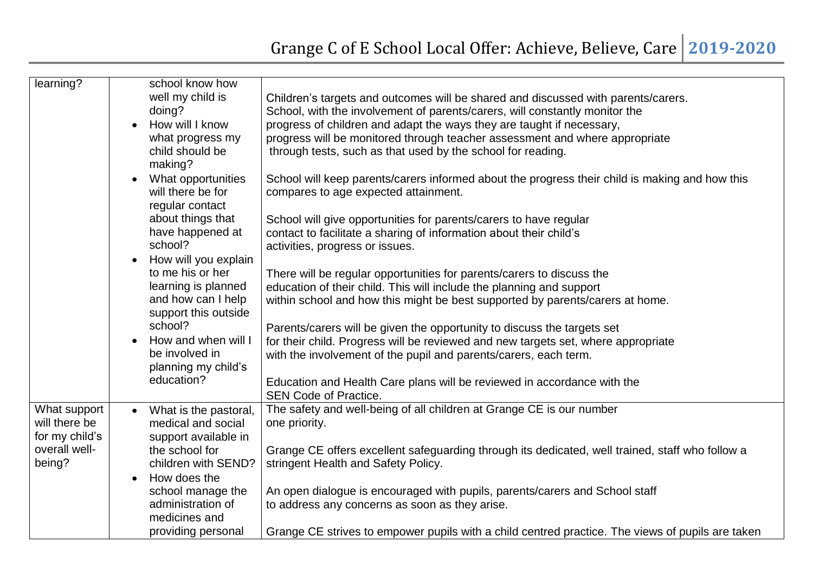| learning?                                                        | school know how<br>well my child is<br>doing?<br>How will I know<br>$\bullet$<br>what progress my<br>child should be<br>making? | Children's targets and outcomes will be shared and discussed with parents/carers.<br>School, with the involvement of parents/carers, will constantly monitor the<br>progress of children and adapt the ways they are taught if necessary,<br>progress will be monitored through teacher assessment and where appropriate<br>through tests, such as that used by the school for reading. |
|------------------------------------------------------------------|---------------------------------------------------------------------------------------------------------------------------------|-----------------------------------------------------------------------------------------------------------------------------------------------------------------------------------------------------------------------------------------------------------------------------------------------------------------------------------------------------------------------------------------|
|                                                                  | What opportunities<br>will there be for<br>regular contact<br>about things that                                                 | School will keep parents/carers informed about the progress their child is making and how this<br>compares to age expected attainment.                                                                                                                                                                                                                                                  |
|                                                                  | have happened at<br>school?                                                                                                     | School will give opportunities for parents/carers to have regular<br>contact to facilitate a sharing of information about their child's<br>activities, progress or issues.                                                                                                                                                                                                              |
|                                                                  | How will you explain<br>to me his or her<br>learning is planned<br>and how can I help                                           | There will be regular opportunities for parents/carers to discuss the<br>education of their child. This will include the planning and support<br>within school and how this might be best supported by parents/carers at home.                                                                                                                                                          |
|                                                                  | support this outside<br>school?<br>How and when will I<br>be involved in<br>planning my child's                                 | Parents/carers will be given the opportunity to discuss the targets set<br>for their child. Progress will be reviewed and new targets set, where appropriate<br>with the involvement of the pupil and parents/carers, each term.                                                                                                                                                        |
|                                                                  | education?                                                                                                                      | Education and Health Care plans will be reviewed in accordance with the<br><b>SEN Code of Practice.</b>                                                                                                                                                                                                                                                                                 |
| What support<br>will there be<br>for my child's<br>overall well- | What is the pastoral,<br>$\bullet$<br>medical and social<br>support available in<br>the school for                              | The safety and well-being of all children at Grange CE is our number<br>one priority.<br>Grange CE offers excellent safeguarding through its dedicated, well trained, staff who follow a                                                                                                                                                                                                |
| being?                                                           | children with SEND?<br>How does the                                                                                             | stringent Health and Safety Policy.                                                                                                                                                                                                                                                                                                                                                     |
|                                                                  | school manage the<br>administration of<br>medicines and                                                                         | An open dialogue is encouraged with pupils, parents/carers and School staff<br>to address any concerns as soon as they arise.                                                                                                                                                                                                                                                           |
|                                                                  | providing personal                                                                                                              | Grange CE strives to empower pupils with a child centred practice. The views of pupils are taken                                                                                                                                                                                                                                                                                        |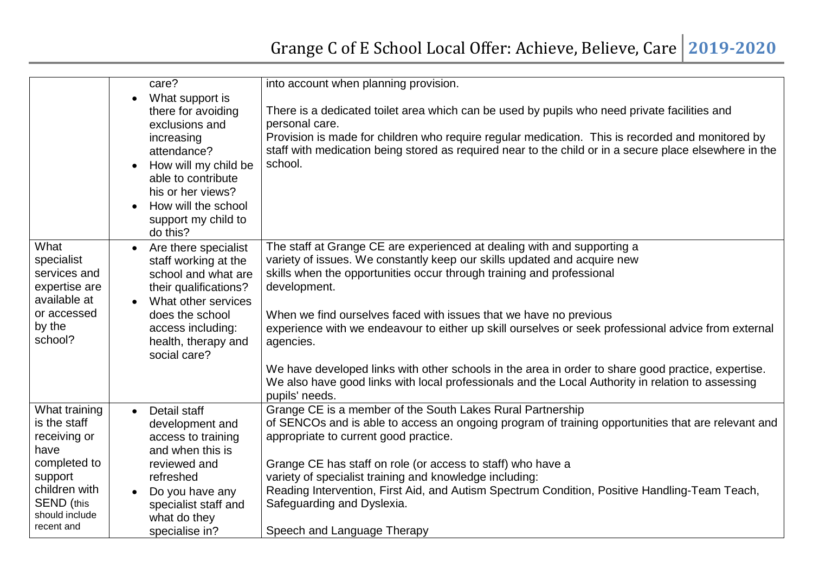|                   | care?                                                                                                                                                                                                             | into account when planning provision.                                                                                                                                                                                                                                                                                                   |
|-------------------|-------------------------------------------------------------------------------------------------------------------------------------------------------------------------------------------------------------------|-----------------------------------------------------------------------------------------------------------------------------------------------------------------------------------------------------------------------------------------------------------------------------------------------------------------------------------------|
|                   | What support is<br>there for avoiding<br>exclusions and<br>increasing<br>attendance?<br>How will my child be<br>able to contribute<br>his or her views?<br>How will the school<br>support my child to<br>do this? | There is a dedicated toilet area which can be used by pupils who need private facilities and<br>personal care.<br>Provision is made for children who require regular medication. This is recorded and monitored by<br>staff with medication being stored as required near to the child or in a secure place elsewhere in the<br>school. |
| What              | Are there specialist                                                                                                                                                                                              | The staff at Grange CE are experienced at dealing with and supporting a                                                                                                                                                                                                                                                                 |
| specialist        | staff working at the                                                                                                                                                                                              | variety of issues. We constantly keep our skills updated and acquire new                                                                                                                                                                                                                                                                |
| services and      | school and what are                                                                                                                                                                                               | skills when the opportunities occur through training and professional                                                                                                                                                                                                                                                                   |
| expertise are     | their qualifications?                                                                                                                                                                                             | development.                                                                                                                                                                                                                                                                                                                            |
| available at      | What other services                                                                                                                                                                                               |                                                                                                                                                                                                                                                                                                                                         |
| or accessed       | does the school                                                                                                                                                                                                   | When we find ourselves faced with issues that we have no previous                                                                                                                                                                                                                                                                       |
| by the            | access including:                                                                                                                                                                                                 | experience with we endeavour to either up skill ourselves or seek professional advice from external                                                                                                                                                                                                                                     |
| school?           | health, therapy and                                                                                                                                                                                               | agencies.                                                                                                                                                                                                                                                                                                                               |
|                   | social care?                                                                                                                                                                                                      |                                                                                                                                                                                                                                                                                                                                         |
|                   |                                                                                                                                                                                                                   | We have developed links with other schools in the area in order to share good practice, expertise.                                                                                                                                                                                                                                      |
|                   |                                                                                                                                                                                                                   | We also have good links with local professionals and the Local Authority in relation to assessing                                                                                                                                                                                                                                       |
| What training     | Detail staff<br>$\bullet$                                                                                                                                                                                         | pupils' needs.<br>Grange CE is a member of the South Lakes Rural Partnership                                                                                                                                                                                                                                                            |
| is the staff      | development and                                                                                                                                                                                                   | of SENCOs and is able to access an ongoing program of training opportunities that are relevant and                                                                                                                                                                                                                                      |
| receiving or      | access to training                                                                                                                                                                                                | appropriate to current good practice.                                                                                                                                                                                                                                                                                                   |
| have              | and when this is                                                                                                                                                                                                  |                                                                                                                                                                                                                                                                                                                                         |
| completed to      | reviewed and                                                                                                                                                                                                      | Grange CE has staff on role (or access to staff) who have a                                                                                                                                                                                                                                                                             |
| support           | refreshed                                                                                                                                                                                                         | variety of specialist training and knowledge including:                                                                                                                                                                                                                                                                                 |
| children with     | Do you have any                                                                                                                                                                                                   | Reading Intervention, First Aid, and Autism Spectrum Condition, Positive Handling-Team Teach,                                                                                                                                                                                                                                           |
| <b>SEND</b> (this | specialist staff and                                                                                                                                                                                              | Safeguarding and Dyslexia.                                                                                                                                                                                                                                                                                                              |
| should include    | what do they                                                                                                                                                                                                      |                                                                                                                                                                                                                                                                                                                                         |
| recent and        | specialise in?                                                                                                                                                                                                    | Speech and Language Therapy                                                                                                                                                                                                                                                                                                             |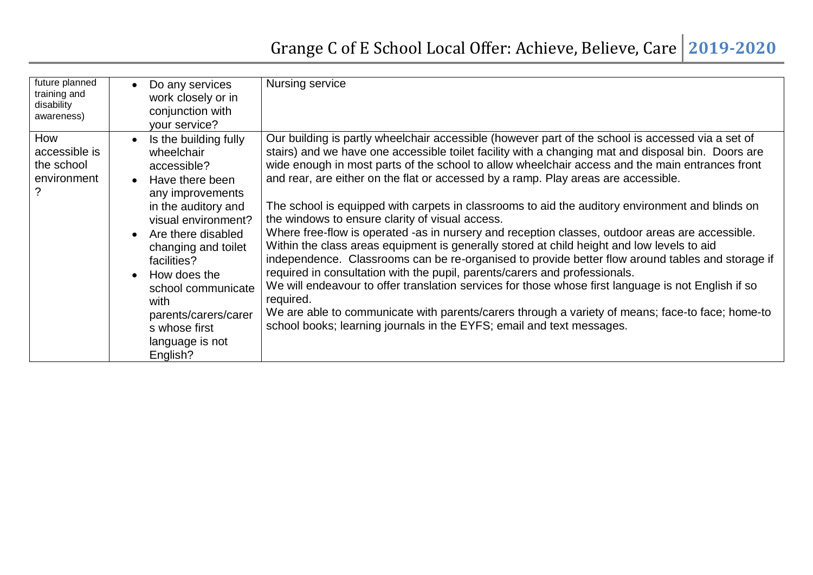## Grange C of E School Local Offer: Achieve, Believe, Care **2019-2020**

| future planned<br>training and<br>disability<br>awareness) | Do any services<br>work closely or in<br>conjunction with<br>your service?                                                                                                                                                                                                                                                                                                    | Nursing service                                                                                                                                                                                                                                                                                                                                                                                                                                                                                                                                                                                                                                                                                                                                                                                                                                                                                                                                                                                                                                                                                                                                                                                                                            |
|------------------------------------------------------------|-------------------------------------------------------------------------------------------------------------------------------------------------------------------------------------------------------------------------------------------------------------------------------------------------------------------------------------------------------------------------------|--------------------------------------------------------------------------------------------------------------------------------------------------------------------------------------------------------------------------------------------------------------------------------------------------------------------------------------------------------------------------------------------------------------------------------------------------------------------------------------------------------------------------------------------------------------------------------------------------------------------------------------------------------------------------------------------------------------------------------------------------------------------------------------------------------------------------------------------------------------------------------------------------------------------------------------------------------------------------------------------------------------------------------------------------------------------------------------------------------------------------------------------------------------------------------------------------------------------------------------------|
| How<br>accessible is<br>the school<br>environment          | Is the building fully<br>$\bullet$<br>wheelchair<br>accessible?<br>Have there been<br>$\bullet$<br>any improvements<br>in the auditory and<br>visual environment?<br>Are there disabled<br>$\bullet$<br>changing and toilet<br>facilities?<br>How does the<br>$\bullet$<br>school communicate<br>with<br>parents/carers/carer<br>s whose first<br>language is not<br>English? | Our building is partly wheelchair accessible (however part of the school is accessed via a set of<br>stairs) and we have one accessible toilet facility with a changing mat and disposal bin. Doors are<br>wide enough in most parts of the school to allow wheelchair access and the main entrances front<br>and rear, are either on the flat or accessed by a ramp. Play areas are accessible.<br>The school is equipped with carpets in classrooms to aid the auditory environment and blinds on<br>the windows to ensure clarity of visual access.<br>Where free-flow is operated -as in nursery and reception classes, outdoor areas are accessible.<br>Within the class areas equipment is generally stored at child height and low levels to aid<br>independence. Classrooms can be re-organised to provide better flow around tables and storage if<br>required in consultation with the pupil, parents/carers and professionals.<br>We will endeavour to offer translation services for those whose first language is not English if so<br>required.<br>We are able to communicate with parents/carers through a variety of means; face-to face; home-to<br>school books; learning journals in the EYFS; email and text messages. |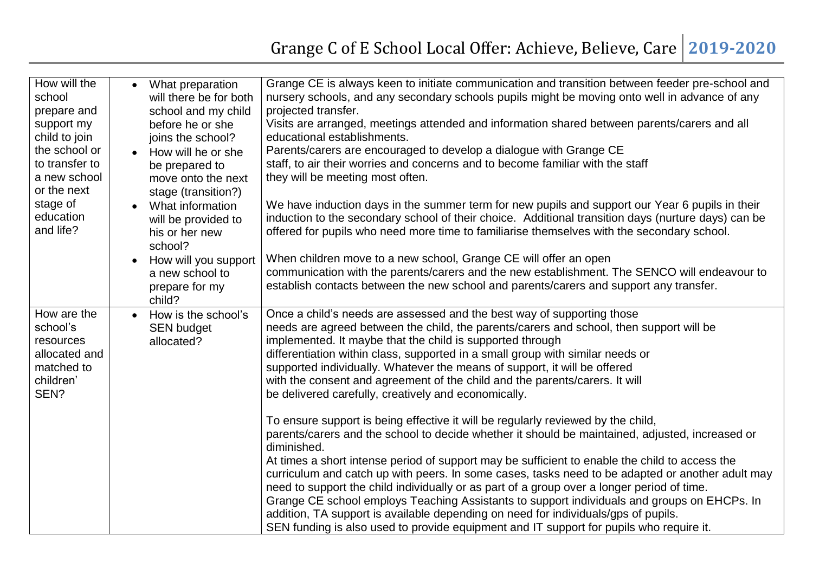| How will the<br>school<br>prepare and<br>support my<br>child to join<br>the school or<br>to transfer to<br>a new school<br>or the next<br>stage of<br>education<br>and life? | What preparation<br>$\bullet$<br>will there be for both<br>school and my child<br>before he or she<br>joins the school?<br>How will he or she<br>$\bullet$<br>be prepared to<br>move onto the next<br>stage (transition?)<br>What information<br>$\bullet$<br>will be provided to<br>his or her new<br>school?<br>How will you support<br>$\bullet$<br>a new school to<br>prepare for my<br>child? | Grange CE is always keen to initiate communication and transition between feeder pre-school and<br>nursery schools, and any secondary schools pupils might be moving onto well in advance of any<br>projected transfer.<br>Visits are arranged, meetings attended and information shared between parents/carers and all<br>educational establishments.<br>Parents/carers are encouraged to develop a dialogue with Grange CE<br>staff, to air their worries and concerns and to become familiar with the staff<br>they will be meeting most often.<br>We have induction days in the summer term for new pupils and support our Year 6 pupils in their<br>induction to the secondary school of their choice. Additional transition days (nurture days) can be<br>offered for pupils who need more time to familiarise themselves with the secondary school.<br>When children move to a new school, Grange CE will offer an open<br>communication with the parents/carers and the new establishment. The SENCO will endeavour to<br>establish contacts between the new school and parents/carers and support any transfer.                                                                                                                                                                                                       |
|------------------------------------------------------------------------------------------------------------------------------------------------------------------------------|----------------------------------------------------------------------------------------------------------------------------------------------------------------------------------------------------------------------------------------------------------------------------------------------------------------------------------------------------------------------------------------------------|--------------------------------------------------------------------------------------------------------------------------------------------------------------------------------------------------------------------------------------------------------------------------------------------------------------------------------------------------------------------------------------------------------------------------------------------------------------------------------------------------------------------------------------------------------------------------------------------------------------------------------------------------------------------------------------------------------------------------------------------------------------------------------------------------------------------------------------------------------------------------------------------------------------------------------------------------------------------------------------------------------------------------------------------------------------------------------------------------------------------------------------------------------------------------------------------------------------------------------------------------------------------------------------------------------------------------------|
| How are the<br>school's<br>resources<br>allocated and<br>matched to<br>children'<br>SEN?                                                                                     | How is the school's<br><b>SEN budget</b><br>allocated?                                                                                                                                                                                                                                                                                                                                             | Once a child's needs are assessed and the best way of supporting those<br>needs are agreed between the child, the parents/carers and school, then support will be<br>implemented. It maybe that the child is supported through<br>differentiation within class, supported in a small group with similar needs or<br>supported individually. Whatever the means of support, it will be offered<br>with the consent and agreement of the child and the parents/carers. It will<br>be delivered carefully, creatively and economically.<br>To ensure support is being effective it will be regularly reviewed by the child,<br>parents/carers and the school to decide whether it should be maintained, adjusted, increased or<br>diminished.<br>At times a short intense period of support may be sufficient to enable the child to access the<br>curriculum and catch up with peers. In some cases, tasks need to be adapted or another adult may<br>need to support the child individually or as part of a group over a longer period of time.<br>Grange CE school employs Teaching Assistants to support individuals and groups on EHCPs. In<br>addition, TA support is available depending on need for individuals/gps of pupils.<br>SEN funding is also used to provide equipment and IT support for pupils who require it. |